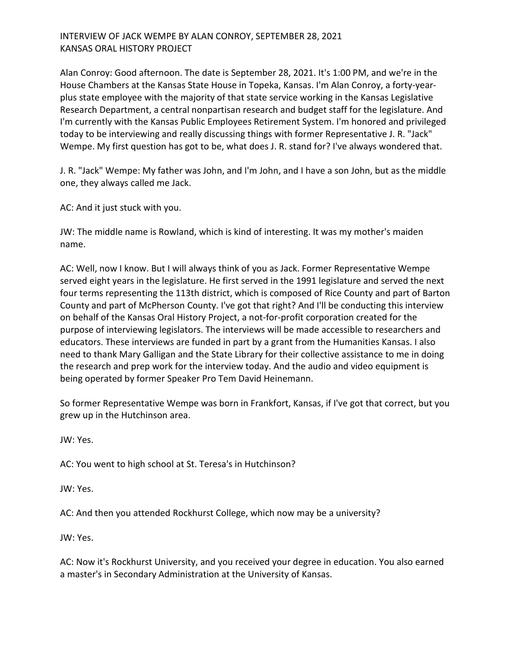# INTERVIEW OF JACK WEMPE BY ALAN CONROY, SEPTEMBER 28, 2021 KANSAS ORAL HISTORY PROJECT

Alan Conroy: Good afternoon. The date is September 28, 2021. It's 1:00 PM, and we're in the House Chambers at the Kansas State House in Topeka, Kansas. I'm Alan Conroy, a forty-yearplus state employee with the majority of that state service working in the Kansas Legislative Research Department, a central nonpartisan research and budget staff for the legislature. And I'm currently with the Kansas Public Employees Retirement System. I'm honored and privileged today to be interviewing and really discussing things with former Representative J. R. "Jack" Wempe. My first question has got to be, what does J. R. stand for? I've always wondered that.

J. R. "Jack" Wempe: My father was John, and I'm John, and I have a son John, but as the middle one, they always called me Jack.

AC: And it just stuck with you.

JW: The middle name is Rowland, which is kind of interesting. It was my mother's maiden name.

AC: Well, now I know. But I will always think of you as Jack. Former Representative Wempe served eight years in the legislature. He first served in the 1991 legislature and served the next four terms representing the 113th district, which is composed of Rice County and part of Barton County and part of McPherson County. I've got that right? And I'll be conducting this interview on behalf of the Kansas Oral History Project, a not-for-profit corporation created for the purpose of interviewing legislators. The interviews will be made accessible to researchers and educators. These interviews are funded in part by a grant from the Humanities Kansas. I also need to thank Mary Galligan and the State Library for their collective assistance to me in doing the research and prep work for the interview today. And the audio and video equipment is being operated by former Speaker Pro Tem David Heinemann.

So former Representative Wempe was born in Frankfort, Kansas, if I've got that correct, but you grew up in the Hutchinson area.

JW: Yes.

AC: You went to high school at St. Teresa's in Hutchinson?

JW: Yes.

AC: And then you attended Rockhurst College, which now may be a university?

JW: Yes.

AC: Now it's Rockhurst University, and you received your degree in education. You also earned a master's in Secondary Administration at the University of Kansas.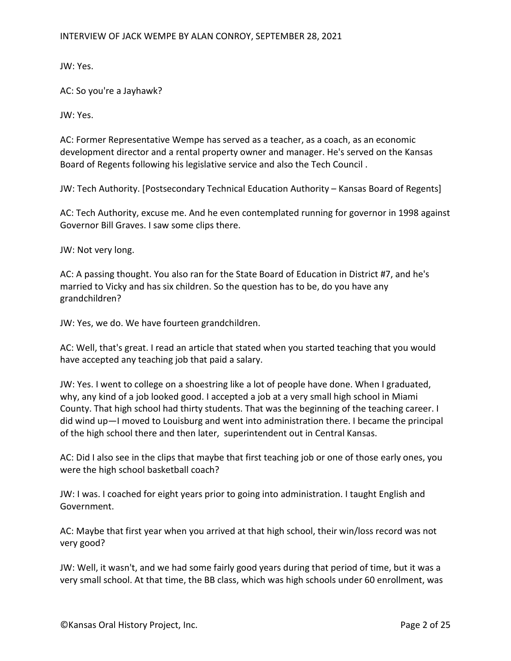JW: Yes.

AC: So you're a Jayhawk?

JW: Yes.

AC: Former Representative Wempe has served as a teacher, as a coach, as an economic development director and a rental property owner and manager. He's served on the Kansas Board of Regents following his legislative service and also the Tech Council .

JW: Tech Authority. [Postsecondary Technical Education Authority – Kansas Board of Regents]

AC: Tech Authority, excuse me. And he even contemplated running for governor in 1998 against Governor Bill Graves. I saw some clips there.

JW: Not very long.

AC: A passing thought. You also ran for the State Board of Education in District #7, and he's married to Vicky and has six children. So the question has to be, do you have any grandchildren?

JW: Yes, we do. We have fourteen grandchildren.

AC: Well, that's great. I read an article that stated when you started teaching that you would have accepted any teaching job that paid a salary.

JW: Yes. I went to college on a shoestring like a lot of people have done. When I graduated, why, any kind of a job looked good. I accepted a job at a very small high school in Miami County. That high school had thirty students. That was the beginning of the teaching career. I did wind up—I moved to Louisburg and went into administration there. I became the principal of the high school there and then later, superintendent out in Central Kansas.

AC: Did I also see in the clips that maybe that first teaching job or one of those early ones, you were the high school basketball coach?

JW: I was. I coached for eight years prior to going into administration. I taught English and Government.

AC: Maybe that first year when you arrived at that high school, their win/loss record was not very good?

JW: Well, it wasn't, and we had some fairly good years during that period of time, but it was a very small school. At that time, the BB class, which was high schools under 60 enrollment, was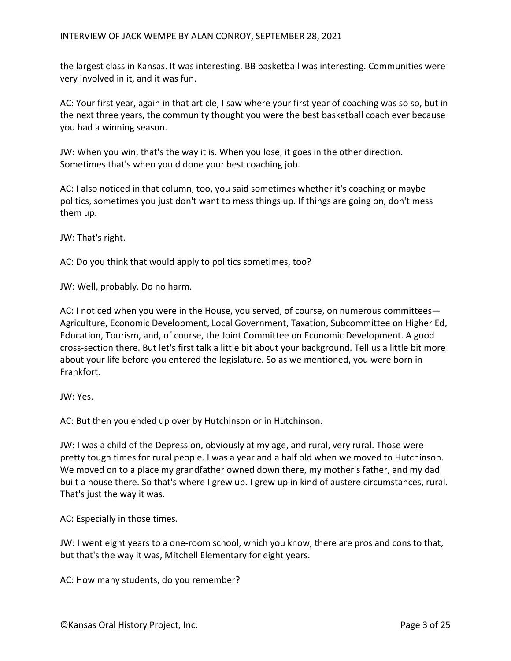the largest class in Kansas. It was interesting. BB basketball was interesting. Communities were very involved in it, and it was fun.

AC: Your first year, again in that article, I saw where your first year of coaching was so so, but in the next three years, the community thought you were the best basketball coach ever because you had a winning season.

JW: When you win, that's the way it is. When you lose, it goes in the other direction. Sometimes that's when you'd done your best coaching job.

AC: I also noticed in that column, too, you said sometimes whether it's coaching or maybe politics, sometimes you just don't want to mess things up. If things are going on, don't mess them up.

JW: That's right.

AC: Do you think that would apply to politics sometimes, too?

JW: Well, probably. Do no harm.

AC: I noticed when you were in the House, you served, of course, on numerous committees— Agriculture, Economic Development, Local Government, Taxation, Subcommittee on Higher Ed, Education, Tourism, and, of course, the Joint Committee on Economic Development. A good cross-section there. But let's first talk a little bit about your background. Tell us a little bit more about your life before you entered the legislature. So as we mentioned, you were born in Frankfort.

JW: Yes.

AC: But then you ended up over by Hutchinson or in Hutchinson.

JW: I was a child of the Depression, obviously at my age, and rural, very rural. Those were pretty tough times for rural people. I was a year and a half old when we moved to Hutchinson. We moved on to a place my grandfather owned down there, my mother's father, and my dad built a house there. So that's where I grew up. I grew up in kind of austere circumstances, rural. That's just the way it was.

AC: Especially in those times.

JW: I went eight years to a one-room school, which you know, there are pros and cons to that, but that's the way it was, Mitchell Elementary for eight years.

AC: How many students, do you remember?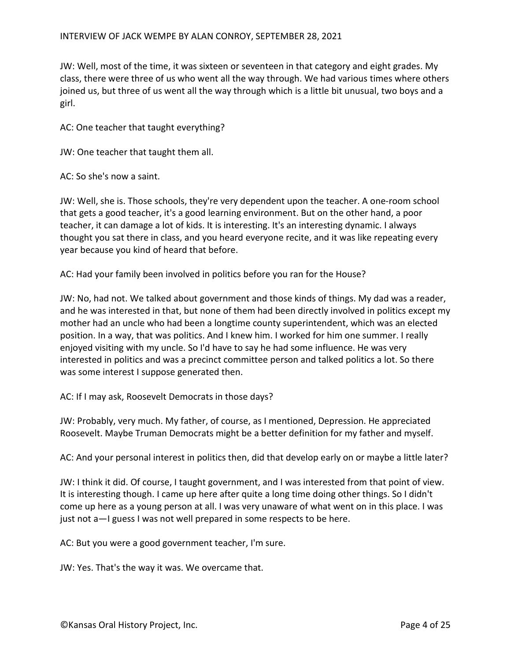JW: Well, most of the time, it was sixteen or seventeen in that category and eight grades. My class, there were three of us who went all the way through. We had various times where others joined us, but three of us went all the way through which is a little bit unusual, two boys and a girl.

AC: One teacher that taught everything?

JW: One teacher that taught them all.

AC: So she's now a saint.

JW: Well, she is. Those schools, they're very dependent upon the teacher. A one-room school that gets a good teacher, it's a good learning environment. But on the other hand, a poor teacher, it can damage a lot of kids. It is interesting. It's an interesting dynamic. I always thought you sat there in class, and you heard everyone recite, and it was like repeating every year because you kind of heard that before.

AC: Had your family been involved in politics before you ran for the House?

JW: No, had not. We talked about government and those kinds of things. My dad was a reader, and he was interested in that, but none of them had been directly involved in politics except my mother had an uncle who had been a longtime county superintendent, which was an elected position. In a way, that was politics. And I knew him. I worked for him one summer. I really enjoyed visiting with my uncle. So I'd have to say he had some influence. He was very interested in politics and was a precinct committee person and talked politics a lot. So there was some interest I suppose generated then.

AC: If I may ask, Roosevelt Democrats in those days?

JW: Probably, very much. My father, of course, as I mentioned, Depression. He appreciated Roosevelt. Maybe Truman Democrats might be a better definition for my father and myself.

AC: And your personal interest in politics then, did that develop early on or maybe a little later?

JW: I think it did. Of course, I taught government, and I was interested from that point of view. It is interesting though. I came up here after quite a long time doing other things. So I didn't come up here as a young person at all. I was very unaware of what went on in this place. I was just not a—I guess I was not well prepared in some respects to be here.

AC: But you were a good government teacher, I'm sure.

JW: Yes. That's the way it was. We overcame that.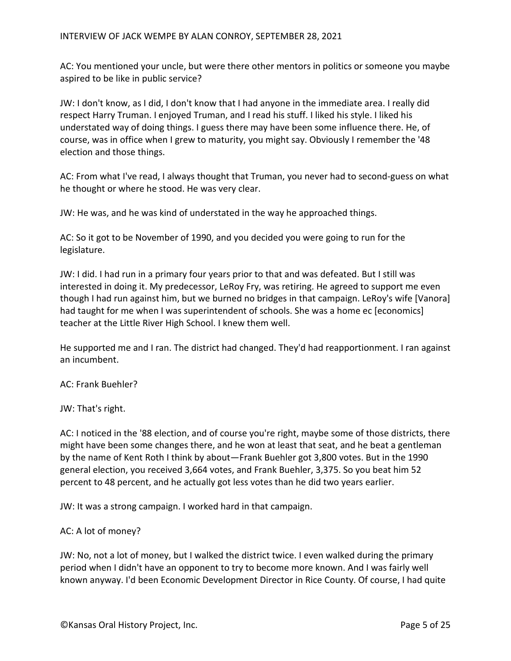AC: You mentioned your uncle, but were there other mentors in politics or someone you maybe aspired to be like in public service?

JW: I don't know, as I did, I don't know that I had anyone in the immediate area. I really did respect Harry Truman. I enjoyed Truman, and I read his stuff. I liked his style. I liked his understated way of doing things. I guess there may have been some influence there. He, of course, was in office when I grew to maturity, you might say. Obviously I remember the '48 election and those things.

AC: From what I've read, I always thought that Truman, you never had to second-guess on what he thought or where he stood. He was very clear.

JW: He was, and he was kind of understated in the way he approached things.

AC: So it got to be November of 1990, and you decided you were going to run for the legislature.

JW: I did. I had run in a primary four years prior to that and was defeated. But I still was interested in doing it. My predecessor, LeRoy Fry, was retiring. He agreed to support me even though I had run against him, but we burned no bridges in that campaign. LeRoy's wife [Vanora] had taught for me when I was superintendent of schools. She was a home ec [economics] teacher at the Little River High School. I knew them well.

He supported me and I ran. The district had changed. They'd had reapportionment. I ran against an incumbent.

AC: Frank Buehler?

JW: That's right.

AC: I noticed in the '88 election, and of course you're right, maybe some of those districts, there might have been some changes there, and he won at least that seat, and he beat a gentleman by the name of Kent Roth I think by about—Frank Buehler got 3,800 votes. But in the 1990 general election, you received 3,664 votes, and Frank Buehler, 3,375. So you beat him 52 percent to 48 percent, and he actually got less votes than he did two years earlier.

JW: It was a strong campaign. I worked hard in that campaign.

# AC: A lot of money?

JW: No, not a lot of money, but I walked the district twice. I even walked during the primary period when I didn't have an opponent to try to become more known. And I was fairly well known anyway. I'd been Economic Development Director in Rice County. Of course, I had quite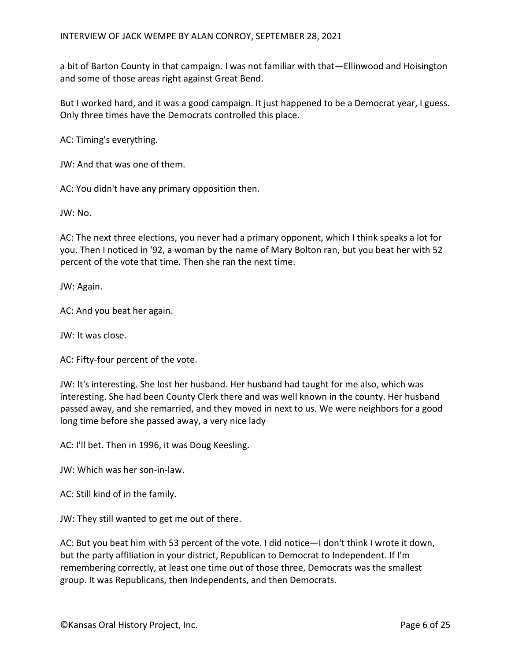a bit of Barton County in that campaign. I was not familiar with that—Ellinwood and Hoisington and some of those areas right against Great Bend.

But I worked hard, and it was a good campaign. It just happened to be a Democrat year, I guess. Only three times have the Democrats controlled this place.

AC: Timing's everything.

JW: And that was one of them.

AC: You didn't have any primary opposition then.

JW: No.

AC: The next three elections, you never had a primary opponent, which I think speaks a lot for you. Then I noticed in '92, a woman by the name of Mary Bolton ran, but you beat her with 52 percent of the vote that time. Then she ran the next time.

JW: Again.

AC: And you beat her again.

JW: It was close.

AC: Fifty-four percent of the vote.

JW: It's interesting. She lost her husband. Her husband had taught for me also, which was interesting. She had been County Clerk there and was well known in the county. Her husband passed away, and she remarried, and they moved in next to us. We were neighbors for a good long time before she passed away, a very nice lady

AC: I'll bet. Then in 1996, it was Doug Keesling.

JW: Which was her son-in-law.

AC: Still kind of in the family.

JW: They still wanted to get me out of there.

AC: But you beat him with 53 percent of the vote. I did notice—I don't think I wrote it down, but the party affiliation in your district, Republican to Democrat to Independent. If I'm remembering correctly, at least one time out of those three, Democrats was the smallest group. It was Republicans, then Independents, and then Democrats.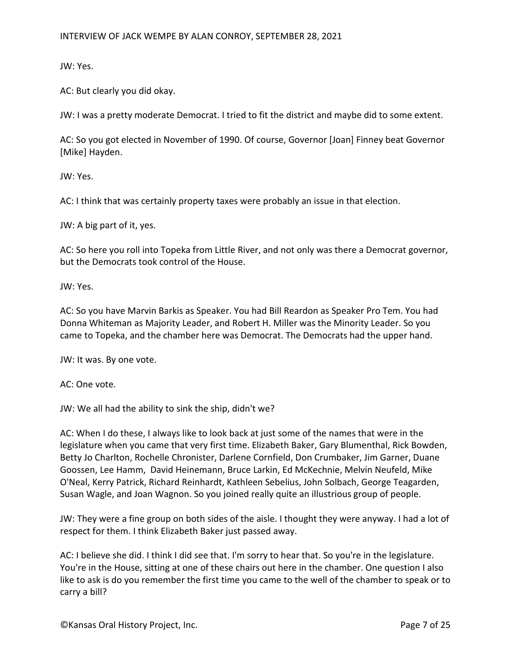JW: Yes.

AC: But clearly you did okay.

JW: I was a pretty moderate Democrat. I tried to fit the district and maybe did to some extent.

AC: So you got elected in November of 1990. Of course, Governor [Joan] Finney beat Governor [Mike] Hayden.

JW: Yes.

AC: I think that was certainly property taxes were probably an issue in that election.

JW: A big part of it, yes.

AC: So here you roll into Topeka from Little River, and not only was there a Democrat governor, but the Democrats took control of the House.

JW: Yes.

AC: So you have Marvin Barkis as Speaker. You had Bill Reardon as Speaker Pro Tem. You had Donna Whiteman as Majority Leader, and Robert H. Miller was the Minority Leader. So you came to Topeka, and the chamber here was Democrat. The Democrats had the upper hand.

JW: It was. By one vote.

AC: One vote.

JW: We all had the ability to sink the ship, didn't we?

AC: When I do these, I always like to look back at just some of the names that were in the legislature when you came that very first time. Elizabeth Baker, Gary Blumenthal, Rick Bowden, Betty Jo Charlton, Rochelle Chronister, Darlene Cornfield, Don Crumbaker, Jim Garner, Duane Goossen, Lee Hamm, David Heinemann, Bruce Larkin, Ed McKechnie, Melvin Neufeld, Mike O'Neal, Kerry Patrick, Richard Reinhardt, Kathleen Sebelius, John Solbach, George Teagarden, Susan Wagle, and Joan Wagnon. So you joined really quite an illustrious group of people.

JW: They were a fine group on both sides of the aisle. I thought they were anyway. I had a lot of respect for them. I think Elizabeth Baker just passed away.

AC: I believe she did. I think I did see that. I'm sorry to hear that. So you're in the legislature. You're in the House, sitting at one of these chairs out here in the chamber. One question I also like to ask is do you remember the first time you came to the well of the chamber to speak or to carry a bill?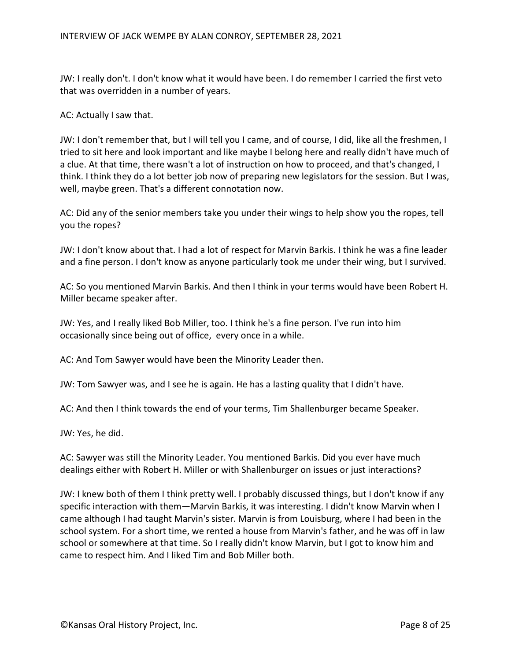JW: I really don't. I don't know what it would have been. I do remember I carried the first veto that was overridden in a number of years.

AC: Actually I saw that.

JW: I don't remember that, but I will tell you I came, and of course, I did, like all the freshmen, I tried to sit here and look important and like maybe I belong here and really didn't have much of a clue. At that time, there wasn't a lot of instruction on how to proceed, and that's changed, I think. I think they do a lot better job now of preparing new legislators for the session. But I was, well, maybe green. That's a different connotation now.

AC: Did any of the senior members take you under their wings to help show you the ropes, tell you the ropes?

JW: I don't know about that. I had a lot of respect for Marvin Barkis. I think he was a fine leader and a fine person. I don't know as anyone particularly took me under their wing, but I survived.

AC: So you mentioned Marvin Barkis. And then I think in your terms would have been Robert H. Miller became speaker after.

JW: Yes, and I really liked Bob Miller, too. I think he's a fine person. I've run into him occasionally since being out of office, every once in a while.

AC: And Tom Sawyer would have been the Minority Leader then.

JW: Tom Sawyer was, and I see he is again. He has a lasting quality that I didn't have.

AC: And then I think towards the end of your terms, Tim Shallenburger became Speaker.

JW: Yes, he did.

AC: Sawyer was still the Minority Leader. You mentioned Barkis. Did you ever have much dealings either with Robert H. Miller or with Shallenburger on issues or just interactions?

JW: I knew both of them I think pretty well. I probably discussed things, but I don't know if any specific interaction with them—Marvin Barkis, it was interesting. I didn't know Marvin when I came although I had taught Marvin's sister. Marvin is from Louisburg, where I had been in the school system. For a short time, we rented a house from Marvin's father, and he was off in law school or somewhere at that time. So I really didn't know Marvin, but I got to know him and came to respect him. And I liked Tim and Bob Miller both.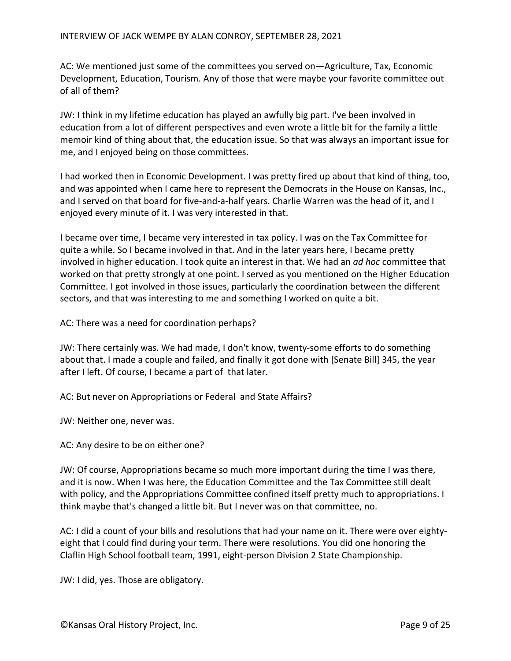AC: We mentioned just some of the committees you served on—Agriculture, Tax, Economic Development, Education, Tourism. Any of those that were maybe your favorite committee out of all of them?

JW: I think in my lifetime education has played an awfully big part. I've been involved in education from a lot of different perspectives and even wrote a little bit for the family a little memoir kind of thing about that, the education issue. So that was always an important issue for me, and I enjoyed being on those committees.

I had worked then in Economic Development. I was pretty fired up about that kind of thing, too, and was appointed when I came here to represent the Democrats in the House on Kansas, Inc., and I served on that board for five-and-a-half years. Charlie Warren was the head of it, and I enjoyed every minute of it. I was very interested in that.

I became over time, I became very interested in tax policy. I was on the Tax Committee for quite a while. So I became involved in that. And in the later years here, I became pretty involved in higher education. I took quite an interest in that. We had an *ad hoc* committee that worked on that pretty strongly at one point. I served as you mentioned on the Higher Education Committee. I got involved in those issues, particularly the coordination between the different sectors, and that was interesting to me and something I worked on quite a bit.

AC: There was a need for coordination perhaps?

JW: There certainly was. We had made, I don't know, twenty-some efforts to do something about that. I made a couple and failed, and finally it got done with [Senate Bill] 345, the year after I left. Of course, I became a part of that later.

AC: But never on Appropriations or Federal and State Affairs?

JW: Neither one, never was.

AC: Any desire to be on either one?

JW: Of course, Appropriations became so much more important during the time I was there, and it is now. When I was here, the Education Committee and the Tax Committee still dealt with policy, and the Appropriations Committee confined itself pretty much to appropriations. I think maybe that's changed a little bit. But I never was on that committee, no.

AC: I did a count of your bills and resolutions that had your name on it. There were over eightyeight that I could find during your term. There were resolutions. You did one honoring the Claflin High School football team, 1991, eight-person Division 2 State Championship.

JW: I did, yes. Those are obligatory.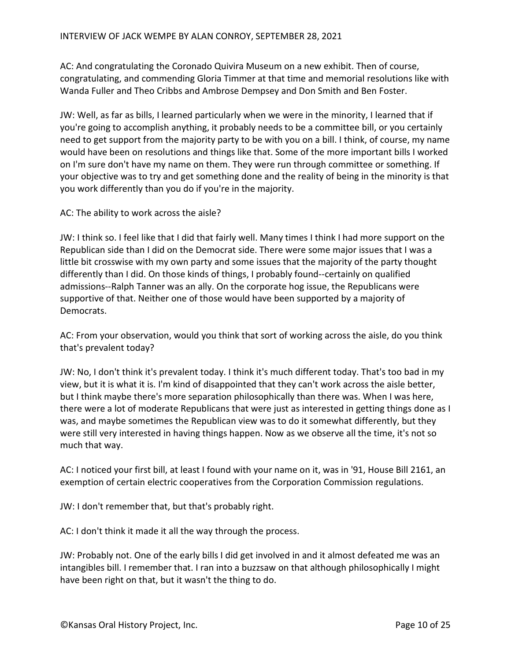AC: And congratulating the Coronado Quivira Museum on a new exhibit. Then of course, congratulating, and commending Gloria Timmer at that time and memorial resolutions like with Wanda Fuller and Theo Cribbs and Ambrose Dempsey and Don Smith and Ben Foster.

JW: Well, as far as bills, I learned particularly when we were in the minority, I learned that if you're going to accomplish anything, it probably needs to be a committee bill, or you certainly need to get support from the majority party to be with you on a bill. I think, of course, my name would have been on resolutions and things like that. Some of the more important bills I worked on I'm sure don't have my name on them. They were run through committee or something. If your objective was to try and get something done and the reality of being in the minority is that you work differently than you do if you're in the majority.

AC: The ability to work across the aisle?

JW: I think so. I feel like that I did that fairly well. Many times I think I had more support on the Republican side than I did on the Democrat side. There were some major issues that I was a little bit crosswise with my own party and some issues that the majority of the party thought differently than I did. On those kinds of things, I probably found--certainly on qualified admissions--Ralph Tanner was an ally. On the corporate hog issue, the Republicans were supportive of that. Neither one of those would have been supported by a majority of Democrats.

AC: From your observation, would you think that sort of working across the aisle, do you think that's prevalent today?

JW: No, I don't think it's prevalent today. I think it's much different today. That's too bad in my view, but it is what it is. I'm kind of disappointed that they can't work across the aisle better, but I think maybe there's more separation philosophically than there was. When I was here, there were a lot of moderate Republicans that were just as interested in getting things done as I was, and maybe sometimes the Republican view was to do it somewhat differently, but they were still very interested in having things happen. Now as we observe all the time, it's not so much that way.

AC: I noticed your first bill, at least I found with your name on it, was in '91, House Bill 2161, an exemption of certain electric cooperatives from the Corporation Commission regulations.

JW: I don't remember that, but that's probably right.

AC: I don't think it made it all the way through the process.

JW: Probably not. One of the early bills I did get involved in and it almost defeated me was an intangibles bill. I remember that. I ran into a buzzsaw on that although philosophically I might have been right on that, but it wasn't the thing to do.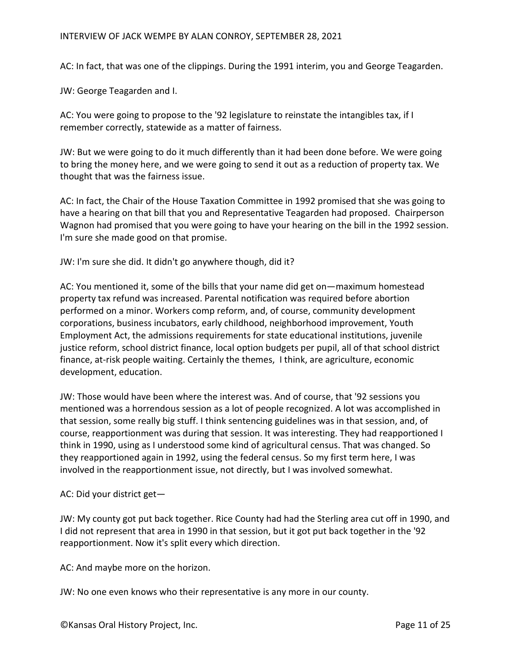# INTERVIEW OF JACK WEMPE BY ALAN CONROY, SEPTEMBER 28, 2021

AC: In fact, that was one of the clippings. During the 1991 interim, you and George Teagarden.

JW: George Teagarden and I.

AC: You were going to propose to the '92 legislature to reinstate the intangibles tax, if I remember correctly, statewide as a matter of fairness.

JW: But we were going to do it much differently than it had been done before. We were going to bring the money here, and we were going to send it out as a reduction of property tax. We thought that was the fairness issue.

AC: In fact, the Chair of the House Taxation Committee in 1992 promised that she was going to have a hearing on that bill that you and Representative Teagarden had proposed. Chairperson Wagnon had promised that you were going to have your hearing on the bill in the 1992 session. I'm sure she made good on that promise.

JW: I'm sure she did. It didn't go anywhere though, did it?

AC: You mentioned it, some of the bills that your name did get on—maximum homestead property tax refund was increased. Parental notification was required before abortion performed on a minor. Workers comp reform, and, of course, community development corporations, business incubators, early childhood, neighborhood improvement, Youth Employment Act, the admissions requirements for state educational institutions, juvenile justice reform, school district finance, local option budgets per pupil, all of that school district finance, at-risk people waiting. Certainly the themes, I think, are agriculture, economic development, education.

JW: Those would have been where the interest was. And of course, that '92 sessions you mentioned was a horrendous session as a lot of people recognized. A lot was accomplished in that session, some really big stuff. I think sentencing guidelines was in that session, and, of course, reapportionment was during that session. It was interesting. They had reapportioned I think in 1990, using as I understood some kind of agricultural census. That was changed. So they reapportioned again in 1992, using the federal census. So my first term here, I was involved in the reapportionment issue, not directly, but I was involved somewhat.

AC: Did your district get—

JW: My county got put back together. Rice County had had the Sterling area cut off in 1990, and I did not represent that area in 1990 in that session, but it got put back together in the '92 reapportionment. Now it's split every which direction.

AC: And maybe more on the horizon.

JW: No one even knows who their representative is any more in our county.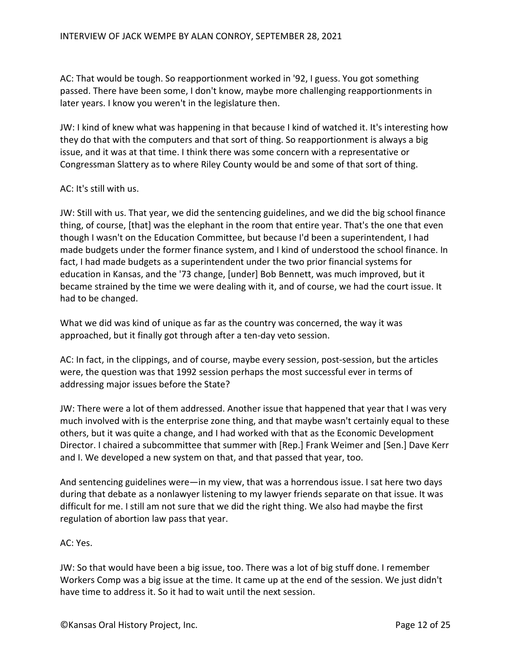AC: That would be tough. So reapportionment worked in '92, I guess. You got something passed. There have been some, I don't know, maybe more challenging reapportionments in later years. I know you weren't in the legislature then.

JW: I kind of knew what was happening in that because I kind of watched it. It's interesting how they do that with the computers and that sort of thing. So reapportionment is always a big issue, and it was at that time. I think there was some concern with a representative or Congressman Slattery as to where Riley County would be and some of that sort of thing.

#### AC: It's still with us.

JW: Still with us. That year, we did the sentencing guidelines, and we did the big school finance thing, of course, [that] was the elephant in the room that entire year. That's the one that even though I wasn't on the Education Committee, but because I'd been a superintendent, I had made budgets under the former finance system, and I kind of understood the school finance. In fact, I had made budgets as a superintendent under the two prior financial systems for education in Kansas, and the '73 change, [under] Bob Bennett, was much improved, but it became strained by the time we were dealing with it, and of course, we had the court issue. It had to be changed.

What we did was kind of unique as far as the country was concerned, the way it was approached, but it finally got through after a ten-day veto session.

AC: In fact, in the clippings, and of course, maybe every session, post-session, but the articles were, the question was that 1992 session perhaps the most successful ever in terms of addressing major issues before the State?

JW: There were a lot of them addressed. Another issue that happened that year that I was very much involved with is the enterprise zone thing, and that maybe wasn't certainly equal to these others, but it was quite a change, and I had worked with that as the Economic Development Director. I chaired a subcommittee that summer with [Rep.] Frank Weimer and [Sen.] Dave Kerr and I. We developed a new system on that, and that passed that year, too.

And sentencing guidelines were—in my view, that was a horrendous issue. I sat here two days during that debate as a nonlawyer listening to my lawyer friends separate on that issue. It was difficult for me. I still am not sure that we did the right thing. We also had maybe the first regulation of abortion law pass that year.

# AC: Yes.

JW: So that would have been a big issue, too. There was a lot of big stuff done. I remember Workers Comp was a big issue at the time. It came up at the end of the session. We just didn't have time to address it. So it had to wait until the next session.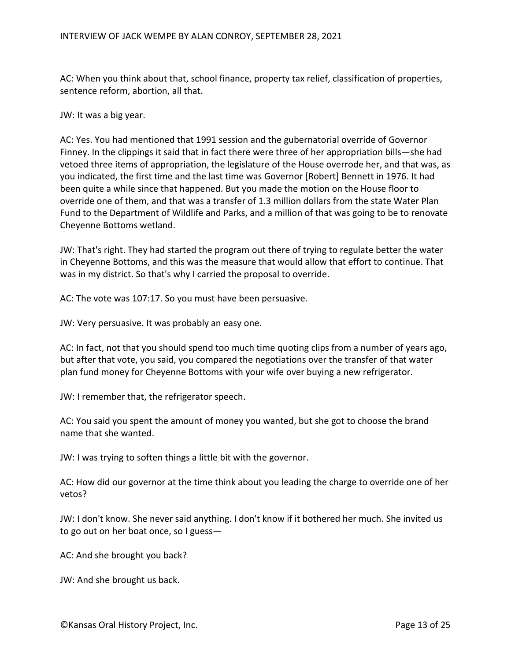AC: When you think about that, school finance, property tax relief, classification of properties, sentence reform, abortion, all that.

JW: It was a big year.

AC: Yes. You had mentioned that 1991 session and the gubernatorial override of Governor Finney. In the clippings it said that in fact there were three of her appropriation bills—she had vetoed three items of appropriation, the legislature of the House overrode her, and that was, as you indicated, the first time and the last time was Governor [Robert] Bennett in 1976. It had been quite a while since that happened. But you made the motion on the House floor to override one of them, and that was a transfer of 1.3 million dollars from the state Water Plan Fund to the Department of Wildlife and Parks, and a million of that was going to be to renovate Cheyenne Bottoms wetland.

JW: That's right. They had started the program out there of trying to regulate better the water in Cheyenne Bottoms, and this was the measure that would allow that effort to continue. That was in my district. So that's why I carried the proposal to override.

AC: The vote was 107:17. So you must have been persuasive.

JW: Very persuasive. It was probably an easy one.

AC: In fact, not that you should spend too much time quoting clips from a number of years ago, but after that vote, you said, you compared the negotiations over the transfer of that water plan fund money for Cheyenne Bottoms with your wife over buying a new refrigerator.

JW: I remember that, the refrigerator speech.

AC: You said you spent the amount of money you wanted, but she got to choose the brand name that she wanted.

JW: I was trying to soften things a little bit with the governor.

AC: How did our governor at the time think about you leading the charge to override one of her vetos?

JW: I don't know. She never said anything. I don't know if it bothered her much. She invited us to go out on her boat once, so I guess—

AC: And she brought you back?

JW: And she brought us back.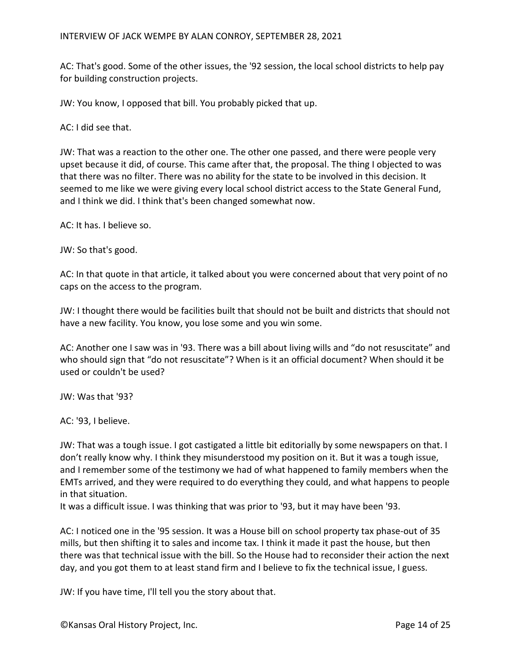AC: That's good. Some of the other issues, the '92 session, the local school districts to help pay for building construction projects.

JW: You know, I opposed that bill. You probably picked that up.

AC: I did see that.

JW: That was a reaction to the other one. The other one passed, and there were people very upset because it did, of course. This came after that, the proposal. The thing I objected to was that there was no filter. There was no ability for the state to be involved in this decision. It seemed to me like we were giving every local school district access to the State General Fund, and I think we did. I think that's been changed somewhat now.

AC: It has. I believe so.

JW: So that's good.

AC: In that quote in that article, it talked about you were concerned about that very point of no caps on the access to the program.

JW: I thought there would be facilities built that should not be built and districts that should not have a new facility. You know, you lose some and you win some.

AC: Another one I saw was in '93. There was a bill about living wills and "do not resuscitate" and who should sign that "do not resuscitate"? When is it an official document? When should it be used or couldn't be used?

JW: Was that '93?

AC: '93, I believe.

JW: That was a tough issue. I got castigated a little bit editorially by some newspapers on that. I don't really know why. I think they misunderstood my position on it. But it was a tough issue, and I remember some of the testimony we had of what happened to family members when the EMTs arrived, and they were required to do everything they could, and what happens to people in that situation.

It was a difficult issue. I was thinking that was prior to '93, but it may have been '93.

AC: I noticed one in the '95 session. It was a House bill on school property tax phase-out of 35 mills, but then shifting it to sales and income tax. I think it made it past the house, but then there was that technical issue with the bill. So the House had to reconsider their action the next day, and you got them to at least stand firm and I believe to fix the technical issue, I guess.

JW: If you have time, I'll tell you the story about that.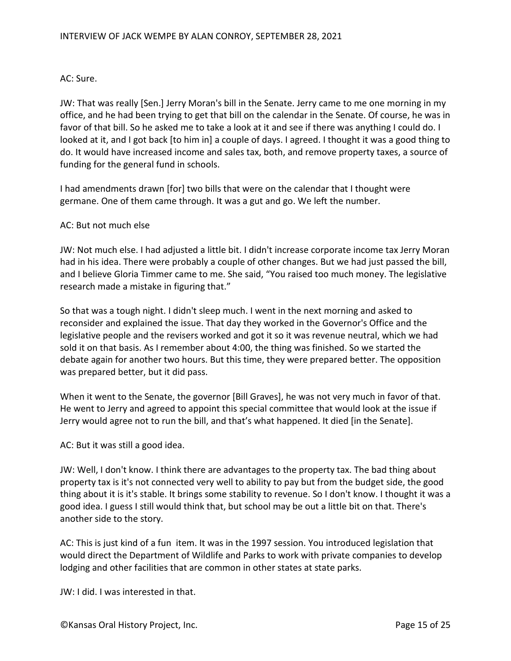#### AC: Sure.

JW: That was really [Sen.] Jerry Moran's bill in the Senate. Jerry came to me one morning in my office, and he had been trying to get that bill on the calendar in the Senate. Of course, he was in favor of that bill. So he asked me to take a look at it and see if there was anything I could do. I looked at it, and I got back [to him in] a couple of days. I agreed. I thought it was a good thing to do. It would have increased income and sales tax, both, and remove property taxes, a source of funding for the general fund in schools.

I had amendments drawn [for] two bills that were on the calendar that I thought were germane. One of them came through. It was a gut and go. We left the number.

#### AC: But not much else

JW: Not much else. I had adjusted a little bit. I didn't increase corporate income tax Jerry Moran had in his idea. There were probably a couple of other changes. But we had just passed the bill, and I believe Gloria Timmer came to me. She said, "You raised too much money. The legislative research made a mistake in figuring that."

So that was a tough night. I didn't sleep much. I went in the next morning and asked to reconsider and explained the issue. That day they worked in the Governor's Office and the legislative people and the revisers worked and got it so it was revenue neutral, which we had sold it on that basis. As I remember about 4:00, the thing was finished. So we started the debate again for another two hours. But this time, they were prepared better. The opposition was prepared better, but it did pass.

When it went to the Senate, the governor [Bill Graves], he was not very much in favor of that. He went to Jerry and agreed to appoint this special committee that would look at the issue if Jerry would agree not to run the bill, and that's what happened. It died [in the Senate].

AC: But it was still a good idea.

JW: Well, I don't know. I think there are advantages to the property tax. The bad thing about property tax is it's not connected very well to ability to pay but from the budget side, the good thing about it is it's stable. It brings some stability to revenue. So I don't know. I thought it was a good idea. I guess I still would think that, but school may be out a little bit on that. There's another side to the story.

AC: This is just kind of a fun item. It was in the 1997 session. You introduced legislation that would direct the Department of Wildlife and Parks to work with private companies to develop lodging and other facilities that are common in other states at state parks.

JW: I did. I was interested in that.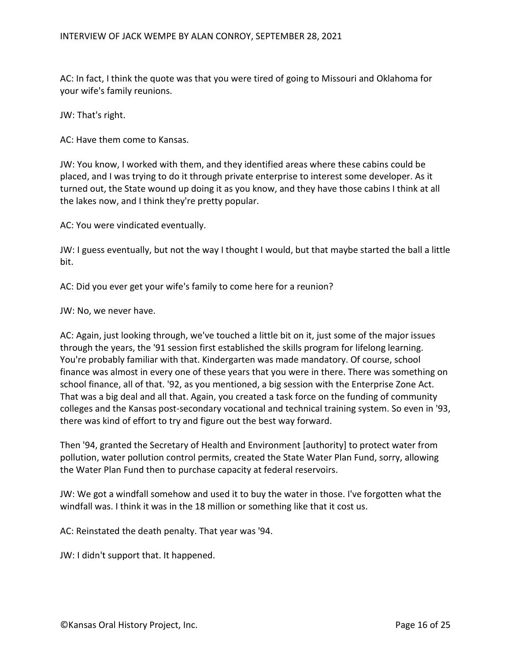AC: In fact, I think the quote was that you were tired of going to Missouri and Oklahoma for your wife's family reunions.

JW: That's right.

AC: Have them come to Kansas.

JW: You know, I worked with them, and they identified areas where these cabins could be placed, and I was trying to do it through private enterprise to interest some developer. As it turned out, the State wound up doing it as you know, and they have those cabins I think at all the lakes now, and I think they're pretty popular.

AC: You were vindicated eventually.

JW: I guess eventually, but not the way I thought I would, but that maybe started the ball a little bit.

AC: Did you ever get your wife's family to come here for a reunion?

JW: No, we never have.

AC: Again, just looking through, we've touched a little bit on it, just some of the major issues through the years, the '91 session first established the skills program for lifelong learning. You're probably familiar with that. Kindergarten was made mandatory. Of course, school finance was almost in every one of these years that you were in there. There was something on school finance, all of that. '92, as you mentioned, a big session with the Enterprise Zone Act. That was a big deal and all that. Again, you created a task force on the funding of community colleges and the Kansas post-secondary vocational and technical training system. So even in '93, there was kind of effort to try and figure out the best way forward.

Then '94, granted the Secretary of Health and Environment [authority] to protect water from pollution, water pollution control permits, created the State Water Plan Fund, sorry, allowing the Water Plan Fund then to purchase capacity at federal reservoirs.

JW: We got a windfall somehow and used it to buy the water in those. I've forgotten what the windfall was. I think it was in the 18 million or something like that it cost us.

AC: Reinstated the death penalty. That year was '94.

JW: I didn't support that. It happened.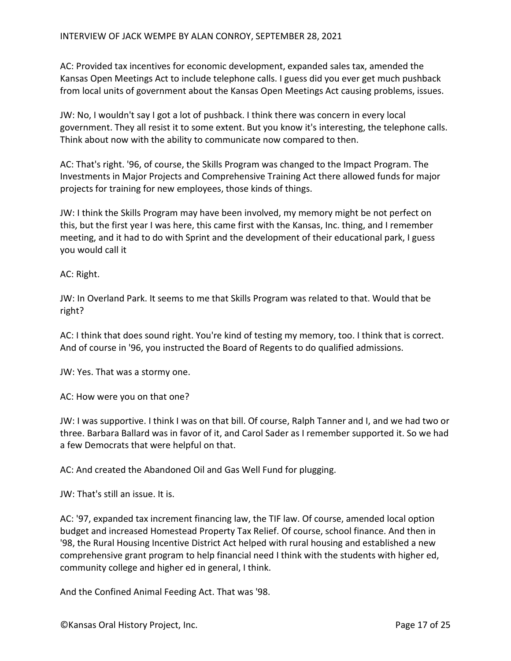AC: Provided tax incentives for economic development, expanded sales tax, amended the Kansas Open Meetings Act to include telephone calls. I guess did you ever get much pushback from local units of government about the Kansas Open Meetings Act causing problems, issues.

JW: No, I wouldn't say I got a lot of pushback. I think there was concern in every local government. They all resist it to some extent. But you know it's interesting, the telephone calls. Think about now with the ability to communicate now compared to then.

AC: That's right. '96, of course, the Skills Program was changed to the Impact Program. The Investments in Major Projects and Comprehensive Training Act there allowed funds for major projects for training for new employees, those kinds of things.

JW: I think the Skills Program may have been involved, my memory might be not perfect on this, but the first year I was here, this came first with the Kansas, Inc. thing, and I remember meeting, and it had to do with Sprint and the development of their educational park, I guess you would call it

AC: Right.

JW: In Overland Park. It seems to me that Skills Program was related to that. Would that be right?

AC: I think that does sound right. You're kind of testing my memory, too. I think that is correct. And of course in '96, you instructed the Board of Regents to do qualified admissions.

JW: Yes. That was a stormy one.

AC: How were you on that one?

JW: I was supportive. I think I was on that bill. Of course, Ralph Tanner and I, and we had two or three. Barbara Ballard was in favor of it, and Carol Sader as I remember supported it. So we had a few Democrats that were helpful on that.

AC: And created the Abandoned Oil and Gas Well Fund for plugging.

JW: That's still an issue. It is.

AC: '97, expanded tax increment financing law, the TIF law. Of course, amended local option budget and increased Homestead Property Tax Relief. Of course, school finance. And then in '98, the Rural Housing Incentive District Act helped with rural housing and established a new comprehensive grant program to help financial need I think with the students with higher ed, community college and higher ed in general, I think.

And the Confined Animal Feeding Act. That was '98.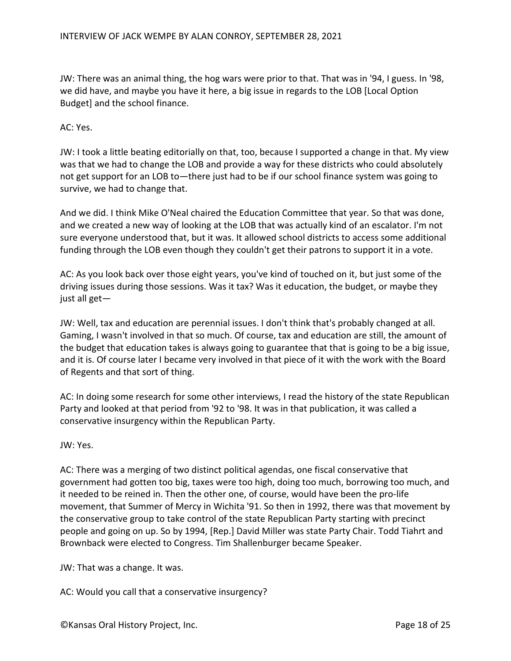JW: There was an animal thing, the hog wars were prior to that. That was in '94, I guess. In '98, we did have, and maybe you have it here, a big issue in regards to the LOB [Local Option Budget] and the school finance.

AC: Yes.

JW: I took a little beating editorially on that, too, because I supported a change in that. My view was that we had to change the LOB and provide a way for these districts who could absolutely not get support for an LOB to—there just had to be if our school finance system was going to survive, we had to change that.

And we did. I think Mike O'Neal chaired the Education Committee that year. So that was done, and we created a new way of looking at the LOB that was actually kind of an escalator. I'm not sure everyone understood that, but it was. It allowed school districts to access some additional funding through the LOB even though they couldn't get their patrons to support it in a vote.

AC: As you look back over those eight years, you've kind of touched on it, but just some of the driving issues during those sessions. Was it tax? Was it education, the budget, or maybe they just all get—

JW: Well, tax and education are perennial issues. I don't think that's probably changed at all. Gaming, I wasn't involved in that so much. Of course, tax and education are still, the amount of the budget that education takes is always going to guarantee that that is going to be a big issue, and it is. Of course later I became very involved in that piece of it with the work with the Board of Regents and that sort of thing.

AC: In doing some research for some other interviews, I read the history of the state Republican Party and looked at that period from '92 to '98. It was in that publication, it was called a conservative insurgency within the Republican Party.

JW: Yes.

AC: There was a merging of two distinct political agendas, one fiscal conservative that government had gotten too big, taxes were too high, doing too much, borrowing too much, and it needed to be reined in. Then the other one, of course, would have been the pro-life movement, that Summer of Mercy in Wichita '91. So then in 1992, there was that movement by the conservative group to take control of the state Republican Party starting with precinct people and going on up. So by 1994, [Rep.] David Miller was state Party Chair. Todd Tiahrt and Brownback were elected to Congress. Tim Shallenburger became Speaker.

JW: That was a change. It was.

AC: Would you call that a conservative insurgency?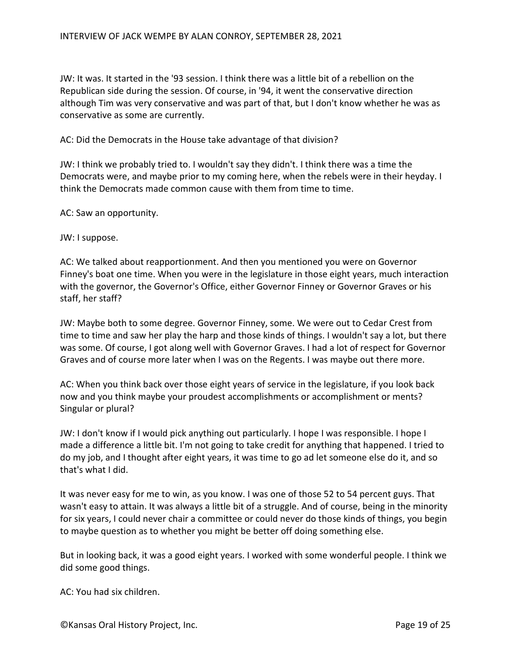JW: It was. It started in the '93 session. I think there was a little bit of a rebellion on the Republican side during the session. Of course, in '94, it went the conservative direction although Tim was very conservative and was part of that, but I don't know whether he was as conservative as some are currently.

AC: Did the Democrats in the House take advantage of that division?

JW: I think we probably tried to. I wouldn't say they didn't. I think there was a time the Democrats were, and maybe prior to my coming here, when the rebels were in their heyday. I think the Democrats made common cause with them from time to time.

AC: Saw an opportunity.

JW: I suppose.

AC: We talked about reapportionment. And then you mentioned you were on Governor Finney's boat one time. When you were in the legislature in those eight years, much interaction with the governor, the Governor's Office, either Governor Finney or Governor Graves or his staff, her staff?

JW: Maybe both to some degree. Governor Finney, some. We were out to Cedar Crest from time to time and saw her play the harp and those kinds of things. I wouldn't say a lot, but there was some. Of course, I got along well with Governor Graves. I had a lot of respect for Governor Graves and of course more later when I was on the Regents. I was maybe out there more.

AC: When you think back over those eight years of service in the legislature, if you look back now and you think maybe your proudest accomplishments or accomplishment or ments? Singular or plural?

JW: I don't know if I would pick anything out particularly. I hope I was responsible. I hope I made a difference a little bit. I'm not going to take credit for anything that happened. I tried to do my job, and I thought after eight years, it was time to go ad let someone else do it, and so that's what I did.

It was never easy for me to win, as you know. I was one of those 52 to 54 percent guys. That wasn't easy to attain. It was always a little bit of a struggle. And of course, being in the minority for six years, I could never chair a committee or could never do those kinds of things, you begin to maybe question as to whether you might be better off doing something else.

But in looking back, it was a good eight years. I worked with some wonderful people. I think we did some good things.

AC: You had six children.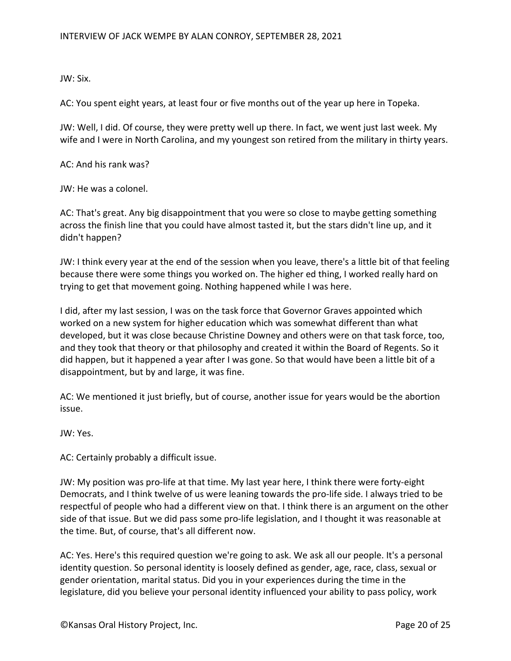JW: Six.

AC: You spent eight years, at least four or five months out of the year up here in Topeka.

JW: Well, I did. Of course, they were pretty well up there. In fact, we went just last week. My wife and I were in North Carolina, and my youngest son retired from the military in thirty years.

AC: And his rank was?

JW: He was a colonel.

AC: That's great. Any big disappointment that you were so close to maybe getting something across the finish line that you could have almost tasted it, but the stars didn't line up, and it didn't happen?

JW: I think every year at the end of the session when you leave, there's a little bit of that feeling because there were some things you worked on. The higher ed thing, I worked really hard on trying to get that movement going. Nothing happened while I was here.

I did, after my last session, I was on the task force that Governor Graves appointed which worked on a new system for higher education which was somewhat different than what developed, but it was close because Christine Downey and others were on that task force, too, and they took that theory or that philosophy and created it within the Board of Regents. So it did happen, but it happened a year after I was gone. So that would have been a little bit of a disappointment, but by and large, it was fine.

AC: We mentioned it just briefly, but of course, another issue for years would be the abortion issue.

JW: Yes.

AC: Certainly probably a difficult issue.

JW: My position was pro-life at that time. My last year here, I think there were forty-eight Democrats, and I think twelve of us were leaning towards the pro-life side. I always tried to be respectful of people who had a different view on that. I think there is an argument on the other side of that issue. But we did pass some pro-life legislation, and I thought it was reasonable at the time. But, of course, that's all different now.

AC: Yes. Here's this required question we're going to ask. We ask all our people. It's a personal identity question. So personal identity is loosely defined as gender, age, race, class, sexual or gender orientation, marital status. Did you in your experiences during the time in the legislature, did you believe your personal identity influenced your ability to pass policy, work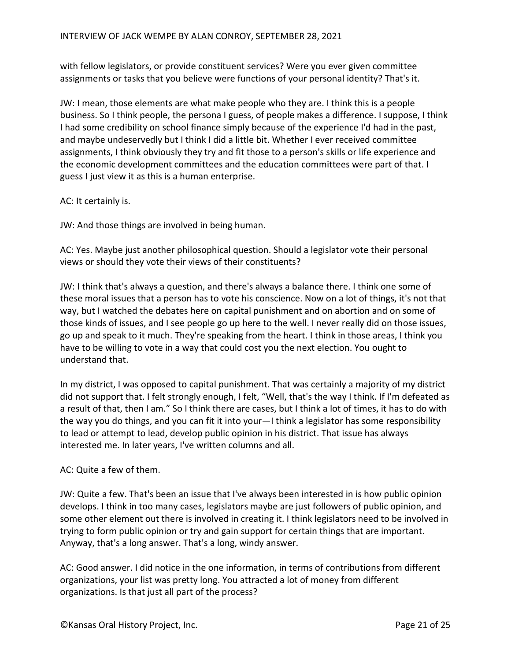with fellow legislators, or provide constituent services? Were you ever given committee assignments or tasks that you believe were functions of your personal identity? That's it.

JW: I mean, those elements are what make people who they are. I think this is a people business. So I think people, the persona I guess, of people makes a difference. I suppose, I think I had some credibility on school finance simply because of the experience I'd had in the past, and maybe undeservedly but I think I did a little bit. Whether I ever received committee assignments, I think obviously they try and fit those to a person's skills or life experience and the economic development committees and the education committees were part of that. I guess I just view it as this is a human enterprise.

AC: It certainly is.

JW: And those things are involved in being human.

AC: Yes. Maybe just another philosophical question. Should a legislator vote their personal views or should they vote their views of their constituents?

JW: I think that's always a question, and there's always a balance there. I think one some of these moral issues that a person has to vote his conscience. Now on a lot of things, it's not that way, but I watched the debates here on capital punishment and on abortion and on some of those kinds of issues, and I see people go up here to the well. I never really did on those issues, go up and speak to it much. They're speaking from the heart. I think in those areas, I think you have to be willing to vote in a way that could cost you the next election. You ought to understand that.

In my district, I was opposed to capital punishment. That was certainly a majority of my district did not support that. I felt strongly enough, I felt, "Well, that's the way I think. If I'm defeated as a result of that, then I am." So I think there are cases, but I think a lot of times, it has to do with the way you do things, and you can fit it into your—I think a legislator has some responsibility to lead or attempt to lead, develop public opinion in his district. That issue has always interested me. In later years, I've written columns and all.

# AC: Quite a few of them.

JW: Quite a few. That's been an issue that I've always been interested in is how public opinion develops. I think in too many cases, legislators maybe are just followers of public opinion, and some other element out there is involved in creating it. I think legislators need to be involved in trying to form public opinion or try and gain support for certain things that are important. Anyway, that's a long answer. That's a long, windy answer.

AC: Good answer. I did notice in the one information, in terms of contributions from different organizations, your list was pretty long. You attracted a lot of money from different organizations. Is that just all part of the process?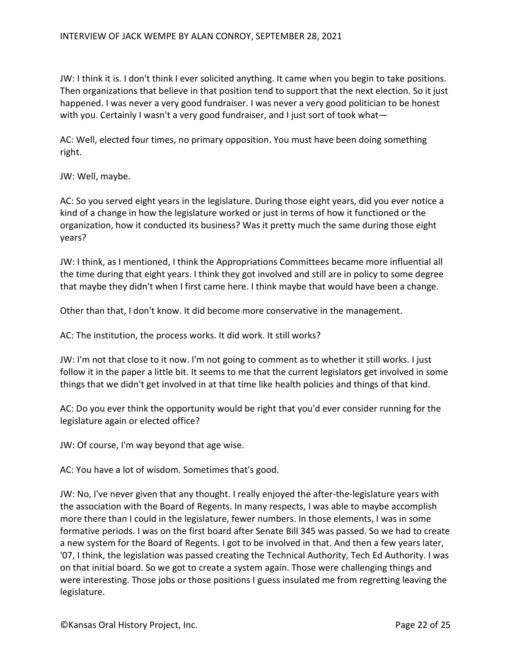JW: I think it is. I don't think I ever solicited anything. It came when you begin to take positions. Then organizations that believe in that position tend to support that the next election. So it just happened. I was never a very good fundraiser. I was never a very good politician to be honest with you. Certainly I wasn't a very good fundraiser, and I just sort of took what-

AC: Well, elected four times, no primary opposition. You must have been doing something right.

JW: Well, maybe.

AC: So you served eight years in the legislature. During those eight years, did you ever notice a kind of a change in how the legislature worked or just in terms of how it functioned or the organization, how it conducted its business? Was it pretty much the same during those eight years?

JW: I think, as I mentioned, I think the Appropriations Committees became more influential all the time during that eight years. I think they got involved and still are in policy to some degree that maybe they didn't when I first came here. I think maybe that would have been a change.

Other than that, I don't know. It did become more conservative in the management.

AC: The institution, the process works. It did work. It still works?

JW: I'm not that close to it now. I'm not going to comment as to whether it still works. I just follow it in the paper a little bit. It seems to me that the current legislators get involved in some things that we didn't get involved in at that time like health policies and things of that kind.

AC: Do you ever think the opportunity would be right that you'd ever consider running for the legislature again or elected office?

JW: Of course, I'm way beyond that age wise.

AC: You have a lot of wisdom. Sometimes that's good.

JW: No, I've never given that any thought. I really enjoyed the after-the-legislature years with the association with the Board of Regents. In many respects, I was able to maybe accomplish more there than I could in the legislature, fewer numbers. In those elements, I was in some formative periods. I was on the first board after Senate Bill 345 was passed. So we had to create a new system for the Board of Regents. I got to be involved in that. And then a few years later, '07, I think, the legislation was passed creating the Technical Authority, Tech Ed Authority. I was on that initial board. So we got to create a system again. Those were challenging things and were interesting. Those jobs or those positions I guess insulated me from regretting leaving the legislature.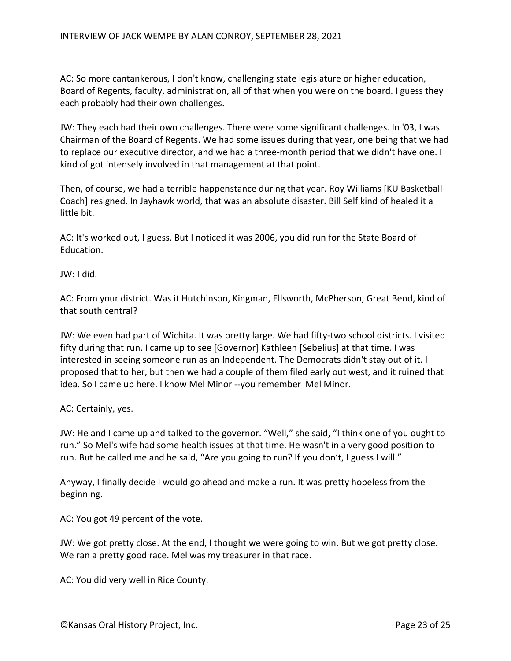AC: So more cantankerous, I don't know, challenging state legislature or higher education, Board of Regents, faculty, administration, all of that when you were on the board. I guess they each probably had their own challenges.

JW: They each had their own challenges. There were some significant challenges. In '03, I was Chairman of the Board of Regents. We had some issues during that year, one being that we had to replace our executive director, and we had a three-month period that we didn't have one. I kind of got intensely involved in that management at that point.

Then, of course, we had a terrible happenstance during that year. Roy Williams [KU Basketball Coach] resigned. In Jayhawk world, that was an absolute disaster. Bill Self kind of healed it a little bit.

AC: It's worked out, I guess. But I noticed it was 2006, you did run for the State Board of Education.

JW: I did.

AC: From your district. Was it Hutchinson, Kingman, Ellsworth, McPherson, Great Bend, kind of that south central?

JW: We even had part of Wichita. It was pretty large. We had fifty-two school districts. I visited fifty during that run. I came up to see [Governor] Kathleen [Sebelius] at that time. I was interested in seeing someone run as an Independent. The Democrats didn't stay out of it. I proposed that to her, but then we had a couple of them filed early out west, and it ruined that idea. So I came up here. I know Mel Minor --you remember Mel Minor.

AC: Certainly, yes.

JW: He and I came up and talked to the governor. "Well," she said, "I think one of you ought to run." So Mel's wife had some health issues at that time. He wasn't in a very good position to run. But he called me and he said, "Are you going to run? If you don't, I guess I will."

Anyway, I finally decide I would go ahead and make a run. It was pretty hopeless from the beginning.

AC: You got 49 percent of the vote.

JW: We got pretty close. At the end, I thought we were going to win. But we got pretty close. We ran a pretty good race. Mel was my treasurer in that race.

AC: You did very well in Rice County.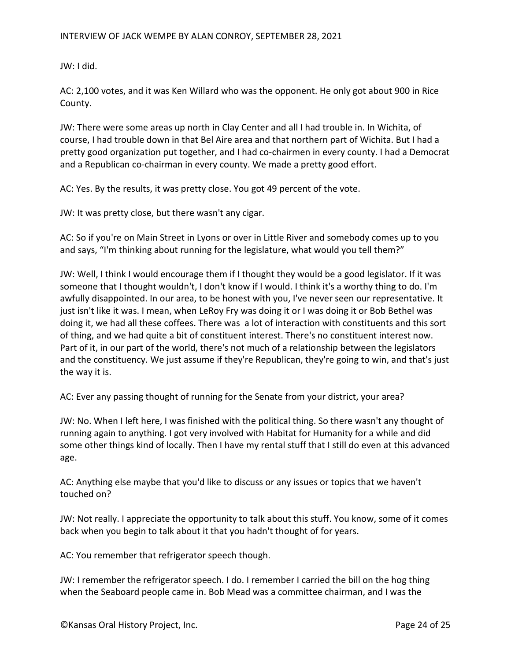JW: I did.

AC: 2,100 votes, and it was Ken Willard who was the opponent. He only got about 900 in Rice County.

JW: There were some areas up north in Clay Center and all I had trouble in. In Wichita, of course, I had trouble down in that Bel Aire area and that northern part of Wichita. But I had a pretty good organization put together, and I had co-chairmen in every county. I had a Democrat and a Republican co-chairman in every county. We made a pretty good effort.

AC: Yes. By the results, it was pretty close. You got 49 percent of the vote.

JW: It was pretty close, but there wasn't any cigar.

AC: So if you're on Main Street in Lyons or over in Little River and somebody comes up to you and says, "I'm thinking about running for the legislature, what would you tell them?"

JW: Well, I think I would encourage them if I thought they would be a good legislator. If it was someone that I thought wouldn't, I don't know if I would. I think it's a worthy thing to do. I'm awfully disappointed. In our area, to be honest with you, I've never seen our representative. It just isn't like it was. I mean, when LeRoy Fry was doing it or I was doing it or Bob Bethel was doing it, we had all these coffees. There was a lot of interaction with constituents and this sort of thing, and we had quite a bit of constituent interest. There's no constituent interest now. Part of it, in our part of the world, there's not much of a relationship between the legislators and the constituency. We just assume if they're Republican, they're going to win, and that's just the way it is.

AC: Ever any passing thought of running for the Senate from your district, your area?

JW: No. When I left here, I was finished with the political thing. So there wasn't any thought of running again to anything. I got very involved with Habitat for Humanity for a while and did some other things kind of locally. Then I have my rental stuff that I still do even at this advanced age.

AC: Anything else maybe that you'd like to discuss or any issues or topics that we haven't touched on?

JW: Not really. I appreciate the opportunity to talk about this stuff. You know, some of it comes back when you begin to talk about it that you hadn't thought of for years.

AC: You remember that refrigerator speech though.

JW: I remember the refrigerator speech. I do. I remember I carried the bill on the hog thing when the Seaboard people came in. Bob Mead was a committee chairman, and I was the